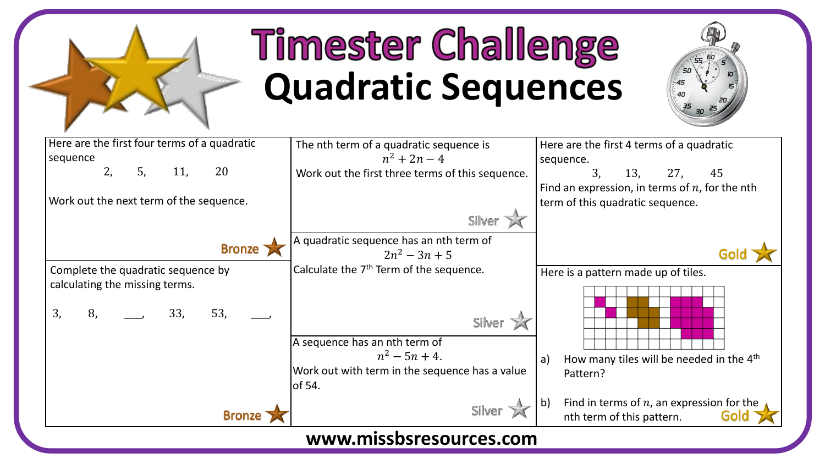

## **Timester Challenge Quadratic Sequences**